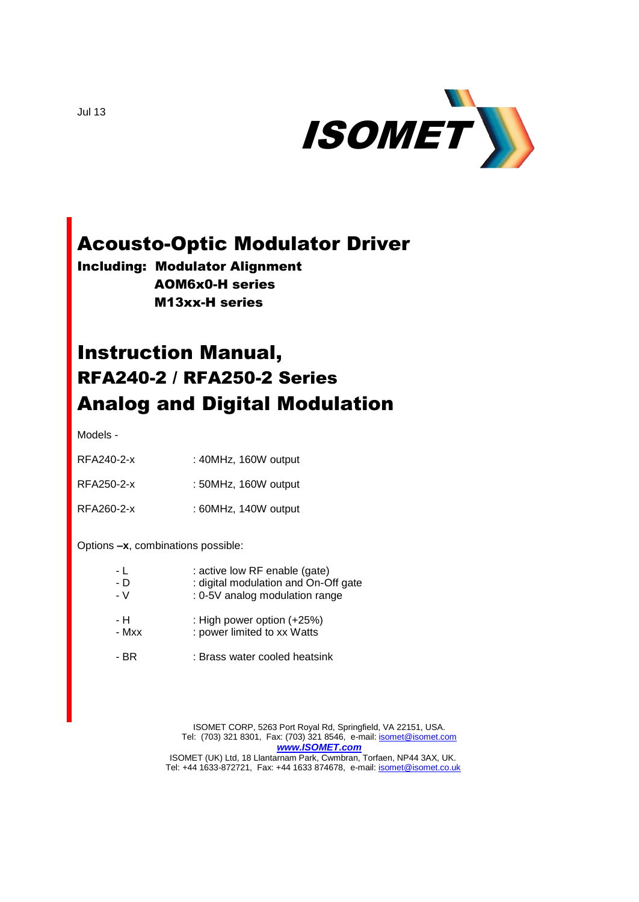

## Acousto-Optic Modulator Driver

Including: Modulator Alignment AOM6x0-H series M13xx-H series

# Instruction Manual, RFA240-2 / RFA250-2 Series Analog and Digital Modulation

Models -

| RFA240-2-x | $: 40$ MHz, 160W output |
|------------|-------------------------|
| RFA250-2-x | : 50MHz, 160W output    |

RFA260-2-x : 60MHz, 140W output

Options **–x**, combinations possible:

| - L   | : active low RF enable (gate)        |
|-------|--------------------------------------|
| - D   | : digital modulation and On-Off gate |
| - V   | : 0-5V analog modulation range       |
| - H   | : High power option (+25%)           |
| - Mxx | : power limited to xx Watts          |
| - BR  | : Brass water cooled heatsink        |

ISOMET CORP, 5263 Port Royal Rd, Springfield, VA 22151, USA. Tel: (703) 321 8301, Fax: (703) 321 8546, e-mail[: isomet@isomet.com](mailto:isomet@isomet.com) *[www.ISOMET.com](http://www.isomet.com/)* ISOMET (UK) Ltd, 18 Llantarnam Park, Cwmbran, Torfaen, NP44 3AX, UK. Tel: +44 1633-872721, Fax: +44 1633 874678, e-mail: *isomet@isomet.co.uk* 

Jul 13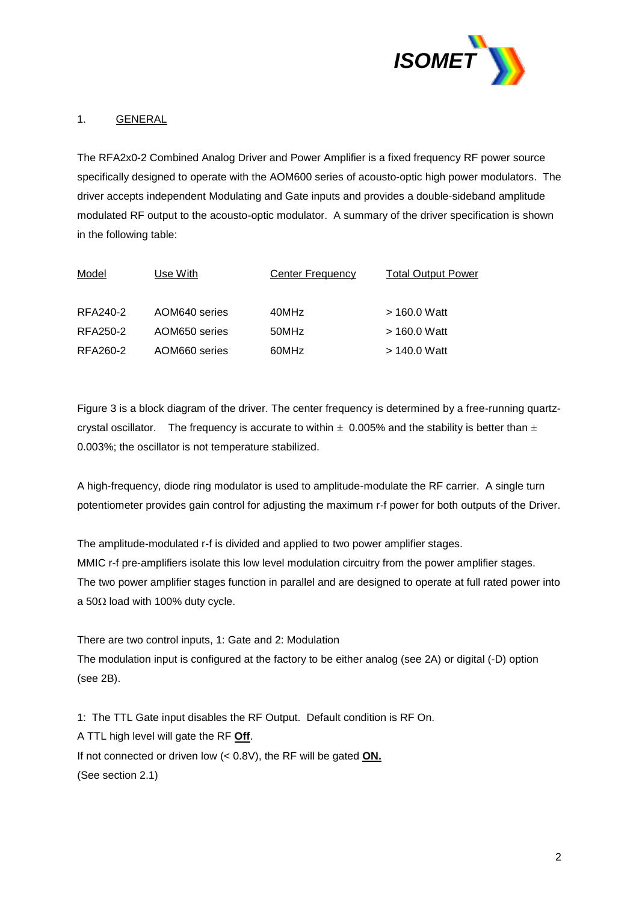

#### 1. GENERAL

The RFA2x0-2 Combined Analog Driver and Power Amplifier is a fixed frequency RF power source specifically designed to operate with the AOM600 series of acousto-optic high power modulators. The driver accepts independent Modulating and Gate inputs and provides a double-sideband amplitude modulated RF output to the acousto-optic modulator. A summary of the driver specification is shown in the following table:

| Model    | Use With      | <b>Center Frequency</b> | <b>Total Output Power</b> |
|----------|---------------|-------------------------|---------------------------|
| RFA240-2 | AOM640 series | 40MHz                   | $>$ 160.0 Watt            |
| RFA250-2 | AOM650 series | 50MHz                   | $>$ 160.0 Watt            |
| RFA260-2 | AOM660 series | 60MHz                   | > 140.0 Watt              |

Figure 3 is a block diagram of the driver. The center frequency is determined by a free-running quartzcrystal oscillator. The frequency is accurate to within  $\pm$  0.005% and the stability is better than  $\pm$ 0.003%; the oscillator is not temperature stabilized.

A high-frequency, diode ring modulator is used to amplitude-modulate the RF carrier. A single turn potentiometer provides gain control for adjusting the maximum r-f power for both outputs of the Driver.

The amplitude-modulated r-f is divided and applied to two power amplifier stages. MMIC r-f pre-amplifiers isolate this low level modulation circuitry from the power amplifier stages. The two power amplifier stages function in parallel and are designed to operate at full rated power into a 50 $\Omega$  load with 100% duty cycle.

There are two control inputs, 1: Gate and 2: Modulation The modulation input is configured at the factory to be either analog (see 2A) or digital (-D) option (see 2B).

1: The TTL Gate input disables the RF Output. Default condition is RF On. A TTL high level will gate the RF **Off**. If not connected or driven low (< 0.8V), the RF will be gated **ON.** (See section 2.1)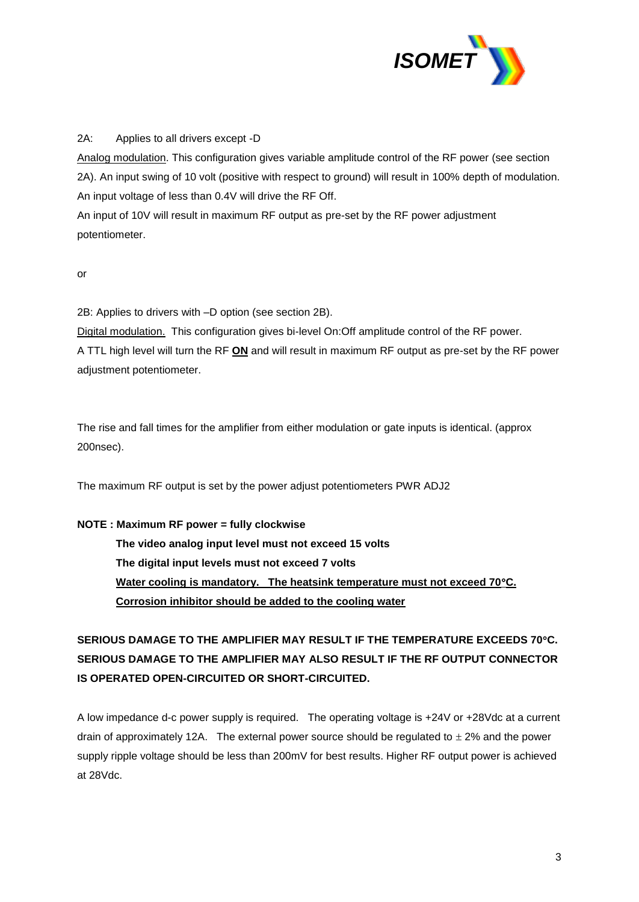

#### 2A: Applies to all drivers except -D

Analog modulation. This configuration gives variable amplitude control of the RF power (see section 2A). An input swing of 10 volt (positive with respect to ground) will result in 100% depth of modulation. An input voltage of less than 0.4V will drive the RF Off.

An input of 10V will result in maximum RF output as pre-set by the RF power adjustment potentiometer.

#### or

2B: Applies to drivers with –D option (see section 2B).

Digital modulation. This configuration gives bi-level On:Off amplitude control of the RF power. A TTL high level will turn the RF **ON** and will result in maximum RF output as pre-set by the RF power adjustment potentiometer.

The rise and fall times for the amplifier from either modulation or gate inputs is identical. (approx 200nsec).

The maximum RF output is set by the power adjust potentiometers PWR ADJ2

#### **NOTE : Maximum RF power = fully clockwise**

**The video analog input level must not exceed 15 volts The digital input levels must not exceed 7 volts Water cooling is mandatory. The heatsink temperature must not exceed 70C. Corrosion inhibitor should be added to the cooling water**

### **SERIOUS DAMAGE TO THE AMPLIFIER MAY RESULT IF THE TEMPERATURE EXCEEDS 70C. SERIOUS DAMAGE TO THE AMPLIFIER MAY ALSO RESULT IF THE RF OUTPUT CONNECTOR IS OPERATED OPEN-CIRCUITED OR SHORT-CIRCUITED.**

A low impedance d-c power supply is required. The operating voltage is +24V or +28Vdc at a current drain of approximately 12A. The external power source should be regulated to  $\pm$  2% and the power supply ripple voltage should be less than 200mV for best results. Higher RF output power is achieved at 28Vdc.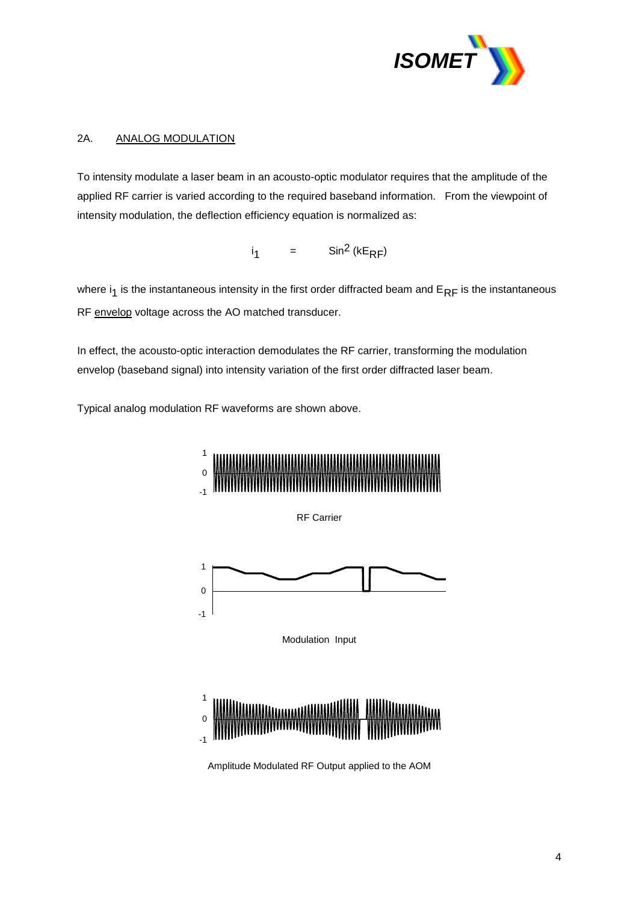

#### 2A. ANALOG MODULATION

To intensity modulate a laser beam in an acousto-optic modulator requires that the amplitude of the applied RF carrier is varied according to the required baseband information. From the viewpoint of intensity modulation, the deflection efficiency equation is normalized as:

> $i<sub>1</sub>$  $=$  Sin<sup>2</sup> (kE<sub>RF</sub>)

where  $i_1$  is the instantaneous intensity in the first order diffracted beam and  $E_{RF}$  is the instantaneous RF envelop voltage across the AO matched transducer.

In effect, the acousto-optic interaction demodulates the RF carrier, transforming the modulation envelop (baseband signal) into intensity variation of the first order diffracted laser beam.

Typical analog modulation RF waveforms are shown above.



RF Carrier



Modulation Input



Amplitude Modulated RF Output applied to the AOM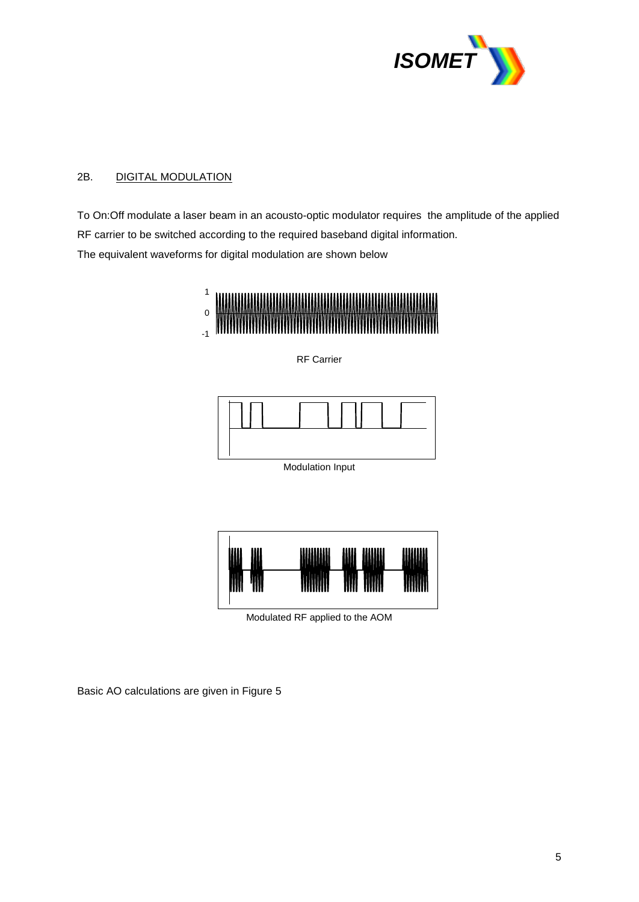

### 2B. DIGITAL MODULATION

To On:Off modulate a laser beam in an acousto-optic modulator requires the amplitude of the applied RF carrier to be switched according to the required baseband digital information. The equivalent waveforms for digital modulation are shown below







Modulation Input



Modulated RF applied to the AOM

Basic AO calculations are given in Figure 5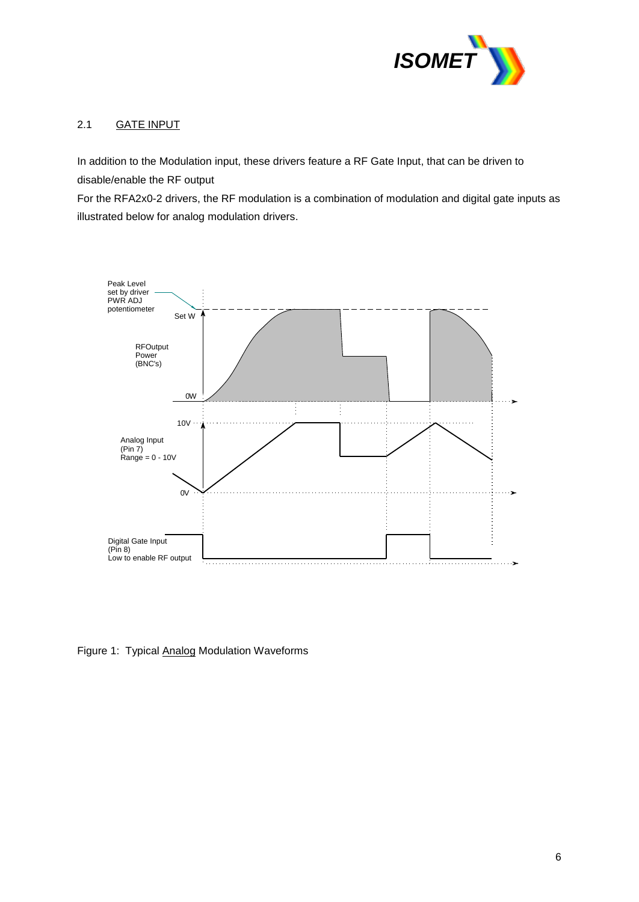

#### 2.1 GATE INPUT

In addition to the Modulation input, these drivers feature a RF Gate Input, that can be driven to disable/enable the RF output

For the RFA2x0-2 drivers, the RF modulation is a combination of modulation and digital gate inputs as illustrated below for analog modulation drivers.



Figure 1: Typical Analog Modulation Waveforms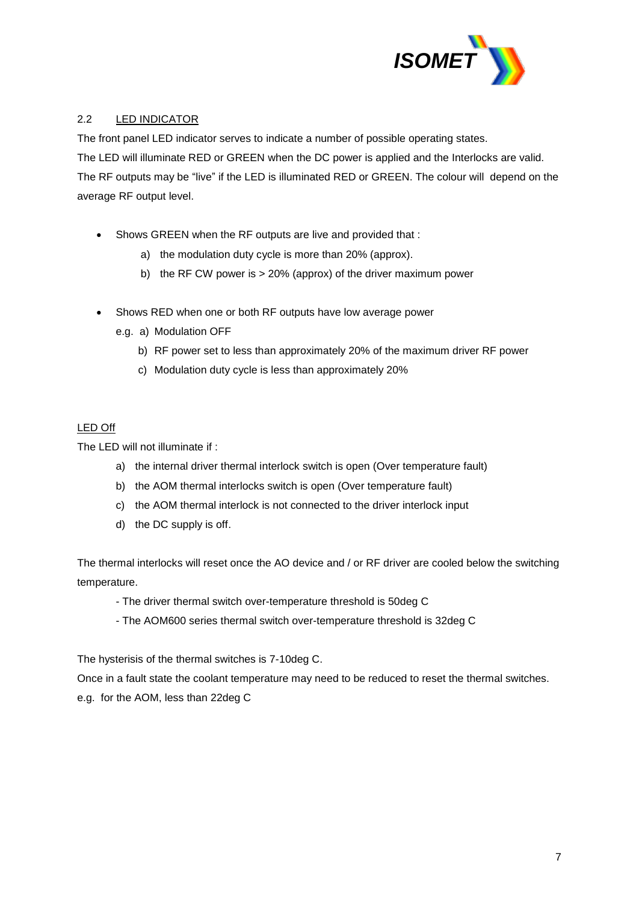

#### 2.2 LED INDICATOR

The front panel LED indicator serves to indicate a number of possible operating states. The LED will illuminate RED or GREEN when the DC power is applied and the Interlocks are valid. The RF outputs may be "live" if the LED is illuminated RED or GREEN. The colour will depend on the average RF output level.

- Shows GREEN when the RF outputs are live and provided that :
	- a) the modulation duty cycle is more than 20% (approx).
	- b) the RF CW power is > 20% (approx) of the driver maximum power
- Shows RED when one or both RF outputs have low average power
	- e.g. a) Modulation OFF
		- b) RF power set to less than approximately 20% of the maximum driver RF power
		- c) Modulation duty cycle is less than approximately 20%

#### LED Off

The LED will not illuminate if :

- a) the internal driver thermal interlock switch is open (Over temperature fault)
- b) the AOM thermal interlocks switch is open (Over temperature fault)
- c) the AOM thermal interlock is not connected to the driver interlock input
- d) the DC supply is off.

The thermal interlocks will reset once the AO device and / or RF driver are cooled below the switching temperature.

- The driver thermal switch over-temperature threshold is 50deg C
- The AOM600 series thermal switch over-temperature threshold is 32deg C

The hysterisis of the thermal switches is 7-10deg C.

Once in a fault state the coolant temperature may need to be reduced to reset the thermal switches.

e.g. for the AOM, less than 22deg C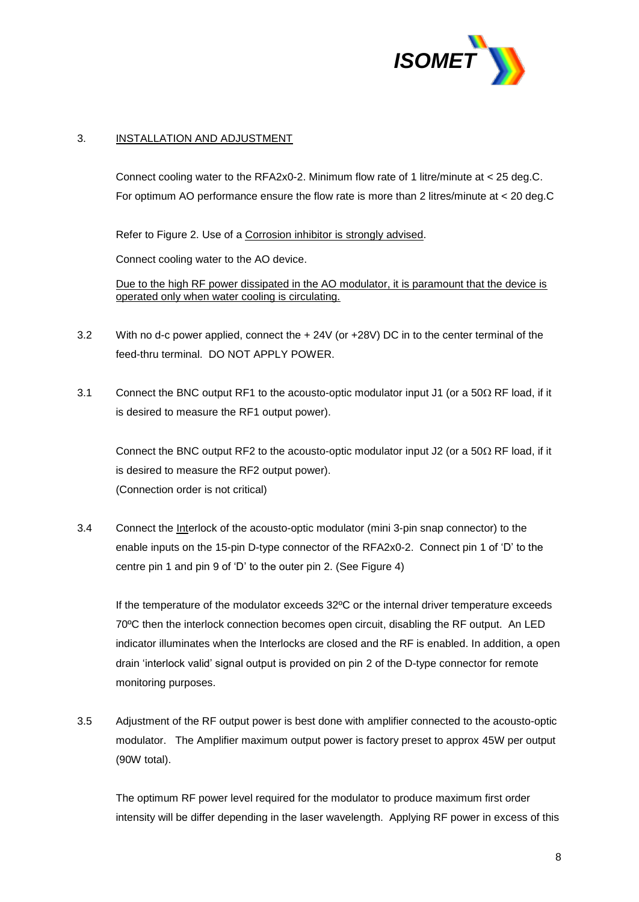

#### 3. INSTALLATION AND ADJUSTMENT

Connect cooling water to the RFA2x0-2. Minimum flow rate of 1 litre/minute at < 25 deg.C. For optimum AO performance ensure the flow rate is more than 2 litres/minute at < 20 deg.C

Refer to Figure 2. Use of a Corrosion inhibitor is strongly advised.

Connect cooling water to the AO device.

Due to the high RF power dissipated in the AO modulator, it is paramount that the device is operated only when water cooling is circulating.

- 3.2 With no d-c power applied, connect the + 24V (or +28V) DC in to the center terminal of the feed-thru terminal. DO NOT APPLY POWER.
- 3.1 Connect the BNC output RF1 to the acousto-optic modulator input J1 (or a  $50\Omega$  RF load, if it is desired to measure the RF1 output power).

Connect the BNC output RF2 to the acousto-optic modulator input J2 (or a  $50\Omega$  RF load, if it is desired to measure the RF2 output power). (Connection order is not critical)

3.4 Connect the Interlock of the acousto-optic modulator (mini 3-pin snap connector) to the enable inputs on the 15-pin D-type connector of the RFA2x0-2. Connect pin 1 of 'D' to the centre pin 1 and pin 9 of 'D' to the outer pin 2. (See Figure 4)

If the temperature of the modulator exceeds 32ºC or the internal driver temperature exceeds 70ºC then the interlock connection becomes open circuit, disabling the RF output. An LED indicator illuminates when the Interlocks are closed and the RF is enabled. In addition, a open drain 'interlock valid' signal output is provided on pin 2 of the D-type connector for remote monitoring purposes.

3.5 Adjustment of the RF output power is best done with amplifier connected to the acousto-optic modulator. The Amplifier maximum output power is factory preset to approx 45W per output (90W total).

The optimum RF power level required for the modulator to produce maximum first order intensity will be differ depending in the laser wavelength. Applying RF power in excess of this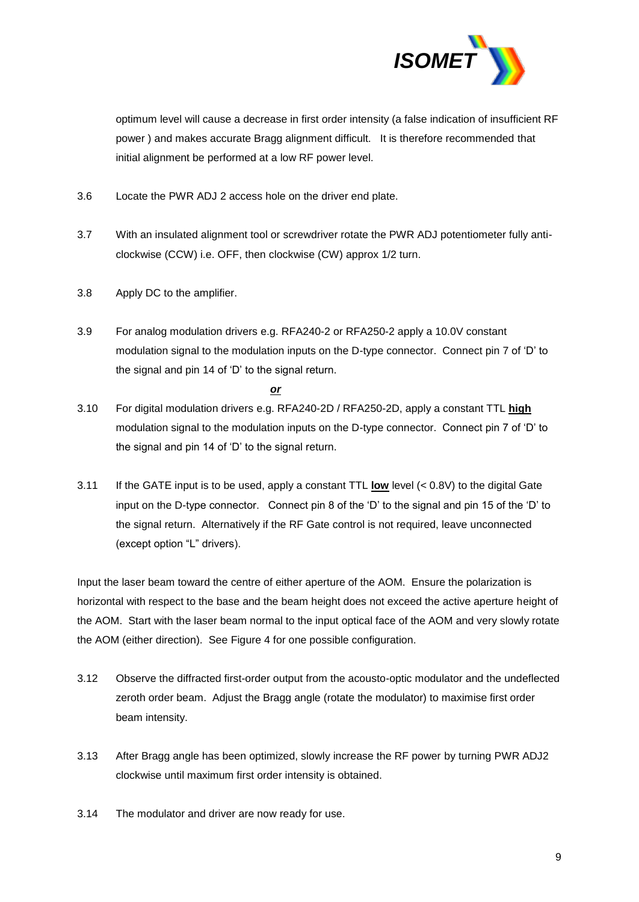

optimum level will cause a decrease in first order intensity (a false indication of insufficient RF power ) and makes accurate Bragg alignment difficult. It is therefore recommended that initial alignment be performed at a low RF power level.

- 3.6 Locate the PWR ADJ 2 access hole on the driver end plate.
- 3.7 With an insulated alignment tool or screwdriver rotate the PWR ADJ potentiometer fully anticlockwise (CCW) i.e. OFF, then clockwise (CW) approx 1/2 turn.
- 3.8 Apply DC to the amplifier.
- 3.9 For analog modulation drivers e.g. RFA240-2 or RFA250-2 apply a 10.0V constant modulation signal to the modulation inputs on the D-type connector. Connect pin 7 of 'D' to the signal and pin 14 of 'D' to the signal return.

*or* 

- 3.10 For digital modulation drivers e.g. RFA240-2D / RFA250-2D, apply a constant TTL **high** modulation signal to the modulation inputs on the D-type connector. Connect pin 7 of 'D' to the signal and pin 14 of 'D' to the signal return.
- 3.11 If the GATE input is to be used, apply a constant TTL **low** level (< 0.8V) to the digital Gate input on the D-type connector. Connect pin 8 of the 'D' to the signal and pin 15 of the 'D' to the signal return. Alternatively if the RF Gate control is not required, leave unconnected (except option "L" drivers).

Input the laser beam toward the centre of either aperture of the AOM. Ensure the polarization is horizontal with respect to the base and the beam height does not exceed the active aperture height of the AOM. Start with the laser beam normal to the input optical face of the AOM and very slowly rotate the AOM (either direction). See Figure 4 for one possible configuration.

- 3.12 Observe the diffracted first-order output from the acousto-optic modulator and the undeflected zeroth order beam. Adjust the Bragg angle (rotate the modulator) to maximise first order beam intensity.
- 3.13 After Bragg angle has been optimized, slowly increase the RF power by turning PWR ADJ2 clockwise until maximum first order intensity is obtained.
- 3.14 The modulator and driver are now ready for use.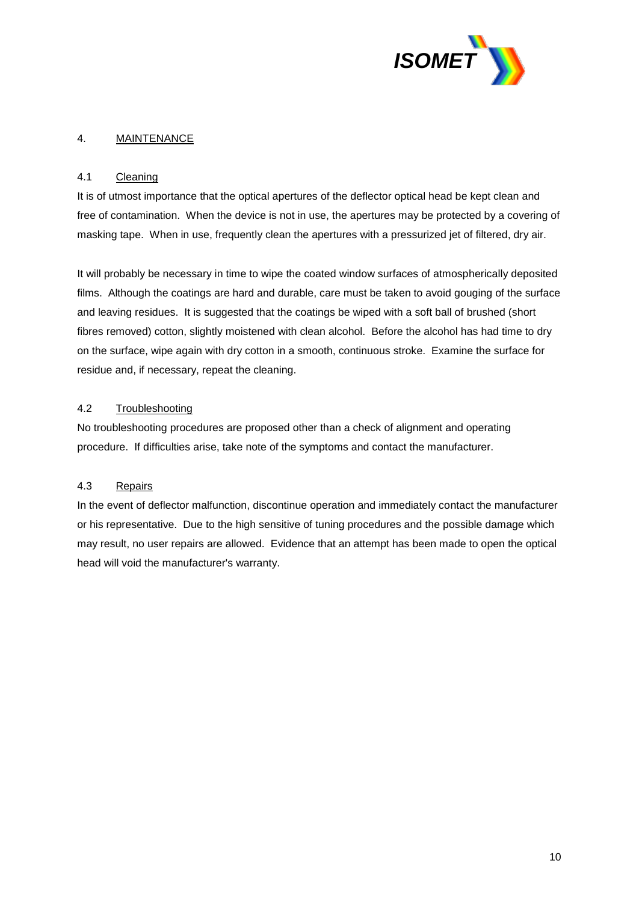

#### 4. MAINTENANCE

#### 4.1 Cleaning

It is of utmost importance that the optical apertures of the deflector optical head be kept clean and free of contamination. When the device is not in use, the apertures may be protected by a covering of masking tape. When in use, frequently clean the apertures with a pressurized jet of filtered, dry air.

It will probably be necessary in time to wipe the coated window surfaces of atmospherically deposited films. Although the coatings are hard and durable, care must be taken to avoid gouging of the surface and leaving residues. It is suggested that the coatings be wiped with a soft ball of brushed (short fibres removed) cotton, slightly moistened with clean alcohol. Before the alcohol has had time to dry on the surface, wipe again with dry cotton in a smooth, continuous stroke. Examine the surface for residue and, if necessary, repeat the cleaning.

#### 4.2 Troubleshooting

No troubleshooting procedures are proposed other than a check of alignment and operating procedure. If difficulties arise, take note of the symptoms and contact the manufacturer.

#### 4.3 Repairs

In the event of deflector malfunction, discontinue operation and immediately contact the manufacturer or his representative. Due to the high sensitive of tuning procedures and the possible damage which may result, no user repairs are allowed. Evidence that an attempt has been made to open the optical head will void the manufacturer's warranty.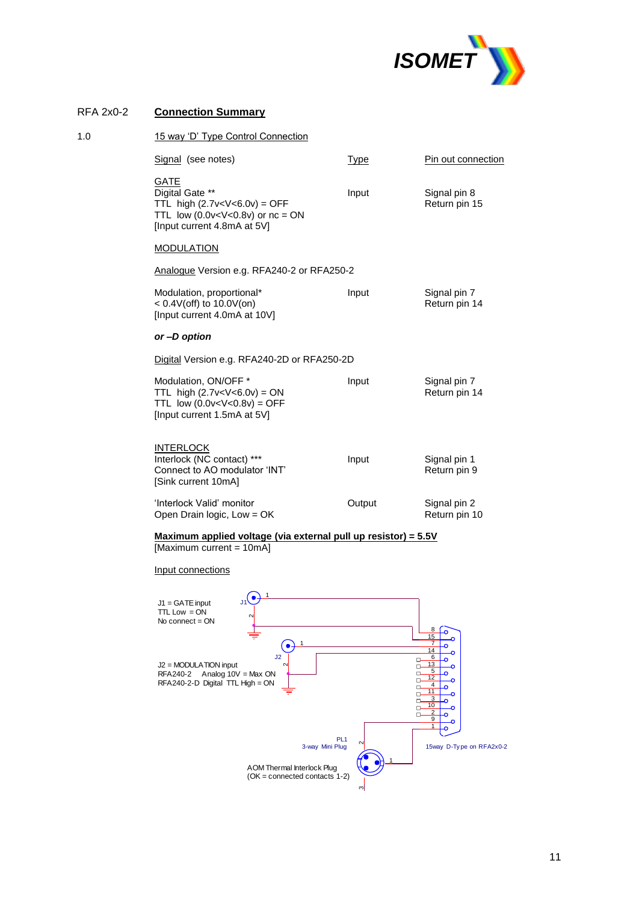

#### RFA 2x0-2 **Connection Summary**

| 1.0 | 15 way 'D' Type Control Connection                                                                          |             |                               |  |  |
|-----|-------------------------------------------------------------------------------------------------------------|-------------|-------------------------------|--|--|
|     | Signal (see notes)                                                                                          | <u>Type</u> | Pin out connection            |  |  |
|     | <b>GATE</b><br>Digital Gate **<br>TTL high $(2.7v OFFTTL low (0.0v or nc = ON[Input current 4.8mA at 5V]$   | Input       | Signal pin 8<br>Return pin 15 |  |  |
|     | <b>MODULATION</b>                                                                                           |             |                               |  |  |
|     | Analogue Version e.g. RFA240-2 or RFA250-2                                                                  |             |                               |  |  |
|     | Modulation, proportional*<br>$< 0.4V$ (off) to 10.0V(on)<br>[Input current 4.0mA at 10V]                    | Input       | Signal pin 7<br>Return pin 14 |  |  |
|     | or-D option                                                                                                 |             |                               |  |  |
|     | Digital Version e.g. RFA240-2D or RFA250-2D                                                                 |             |                               |  |  |
|     | Modulation, ON/OFF *<br>TTL high $(2.7v < V < 6.0v) = ON$<br>TTL low $(0.0v OFF[Input current 1.5mA at 5V]$ | Input       | Signal pin 7<br>Return pin 14 |  |  |
|     | <b>INTERLOCK</b><br>Interlock (NC contact) ***<br>Connect to AO modulator 'INT'<br>[Sink current 10mA]      | Input       | Signal pin 1<br>Return pin 9  |  |  |
|     | 'Interlock Valid' monitor<br>Open Drain logic, Low = OK                                                     | Output      | Signal pin 2<br>Return pin 10 |  |  |
|     |                                                                                                             |             |                               |  |  |

**Maximum applied voltage (via external pull up resistor) = 5.5V** [Maximum current = 10mA]

Input connections

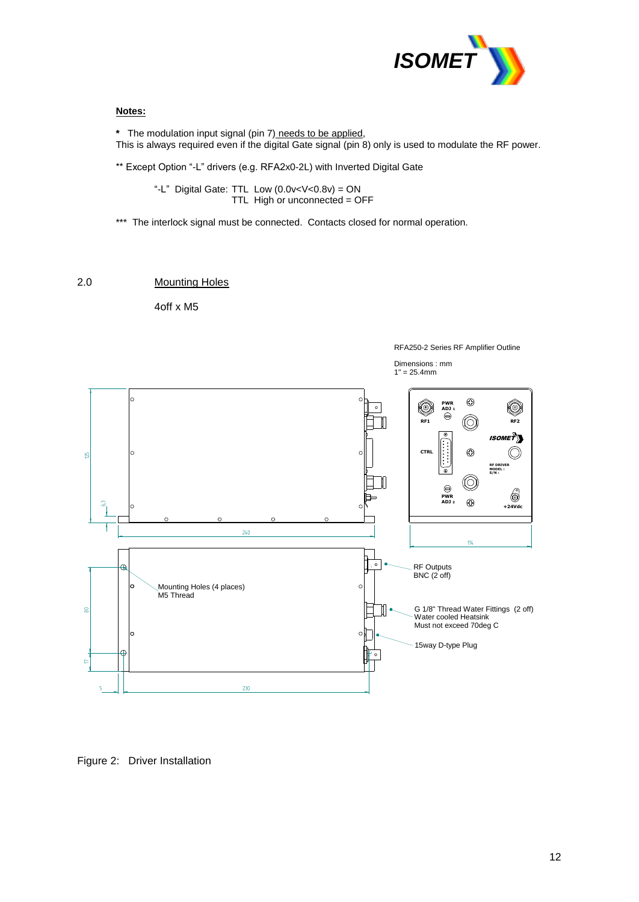

#### **Notes:**

**\*** The modulation input signal (pin 7) needs to be applied, This is always required even if the digital Gate signal (pin 8) only is used to modulate the RF power.

\*\* Except Option "-L" drivers (e.g. RFA2x0-2L) with Inverted Digital Gate

"-L" Digital Gate: TTL Low (0.0v<V<0.8v) = ON TTL High or unconnected = OFF

\*\*\* The interlock signal must be connected. Contacts closed for normal operation.

#### 2.0 Mounting Holes

4off x M5



Figure 2: Driver Installation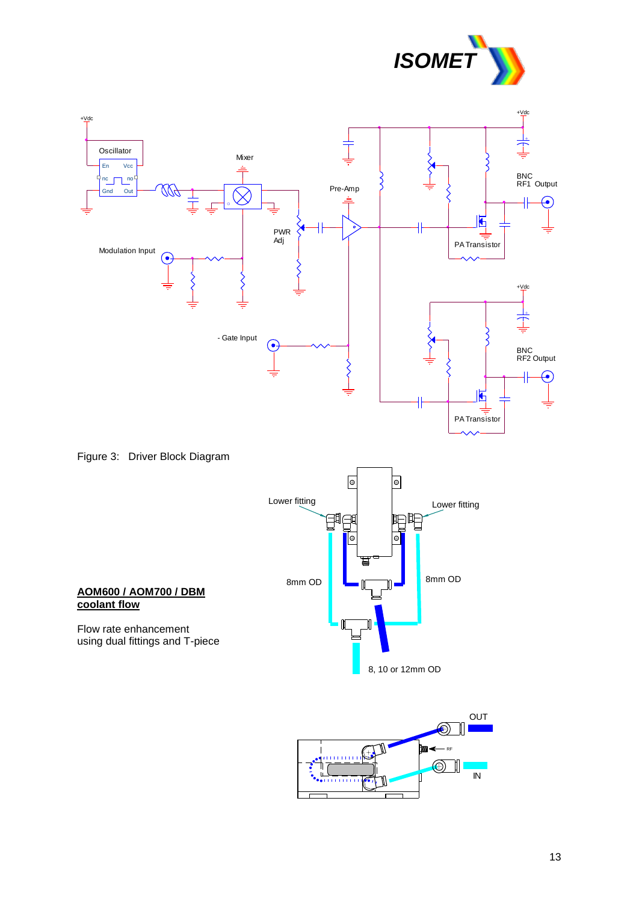







8, 10 or 12mm OD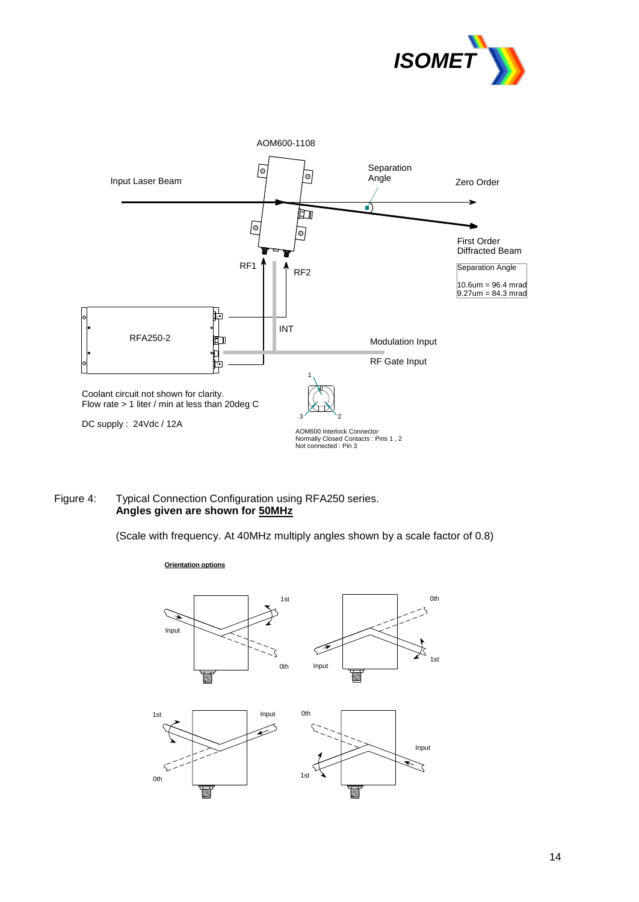



#### Figure 4: Typical Connection Configuration using RFA250 series. **Angles given are shown for 50MHz**

(Scale with frequency. At 40MHz multiply angles shown by a scale factor of 0.8)

#### **Orientation options**